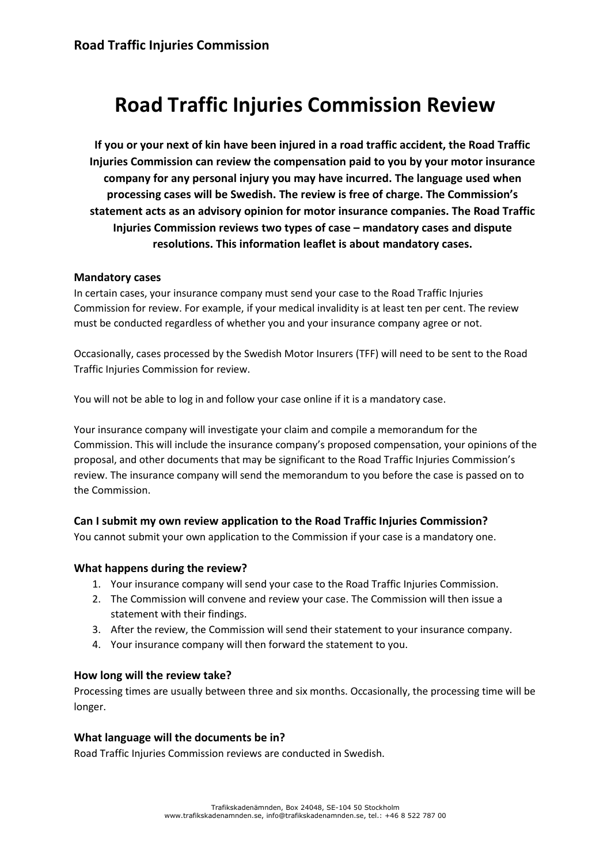# **Road Traffic Injuries Commission Review**

**If you or your next of kin have been injured in a road traffic accident, the Road Traffic Injuries Commission can review the compensation paid to you by your motor insurance company for any personal injury you may have incurred. The language used when processing cases will be Swedish. The review is free of charge. The Commission's statement acts as an advisory opinion for motor insurance companies. The Road Traffic Injuries Commission reviews two types of case – mandatory cases and dispute resolutions. This information leaflet is about mandatory cases.**

### **Mandatory cases**

In certain cases, your insurance company must send your case to the Road Traffic Injuries Commission for review. For example, if your medical invalidity is at least ten per cent. The review must be conducted regardless of whether you and your insurance company agree or not.

Occasionally, cases processed by the Swedish Motor Insurers (TFF) will need to be sent to the Road Traffic Injuries Commission for review.

You will not be able to log in and follow your case online if it is a mandatory case.

Your insurance company will investigate your claim and compile a memorandum for the Commission. This will include the insurance company's proposed compensation, your opinions of the proposal, and other documents that may be significant to the Road Traffic Injuries Commission's review. The insurance company will send the memorandum to you before the case is passed on to the Commission.

### **Can I submit my own review application to the Road Traffic Injuries Commission?**

You cannot submit your own application to the Commission if your case is a mandatory one.

### **What happens during the review?**

- 1. Your insurance company will send your case to the Road Traffic Injuries Commission.
- 2. The Commission will convene and review your case. The Commission will then issue a statement with their findings.
- 3. After the review, the Commission will send their statement to your insurance company.
- 4. Your insurance company will then forward the statement to you.

### **How long will the review take?**

Processing times are usually between three and six months. Occasionally, the processing time will be longer.

### **What language will the documents be in?**

Road Traffic Injuries Commission reviews are conducted in Swedish.